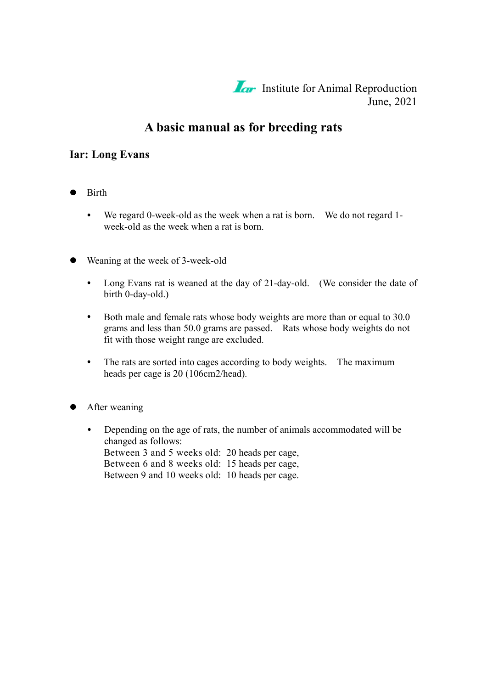**Iar** Institute for Animal Reproduction June, 2021

# **A basic manual as for breeding rats**

### **Iar: Long Evans**

- Birth  $\bullet$ 
	- We regard 0-week-old as the week when a rat is born. We do not regard 1- $\bullet$ week-old as the week when a rat is born.
- Weaning at the week of 3-week-old
	- $\bullet$ Long Evans rat is weaned at the day of 21-day-old. (We consider the date of birth 0-day-old.)
	- $\bullet$  . Both male and female rats whose body weights are more than or equal to 30.0 grams and less than 50.0 grams are passed. Rats whose body weights do not fit with those weight range are excluded.
	- $\bullet$ The rats are sorted into cages according to body weights. The maximum heads per cage is 20 (106cm2/head).
- After weaning
	- $\bullet$ Depending on the age of rats, the number of animals accommodated will be changed as follows: Between 3 and 5 weeks old: 20 heads per cage, Between 6 and 8 weeks old: 15 heads per cage, Between 9 and 10 weeks old: 10 heads per cage.